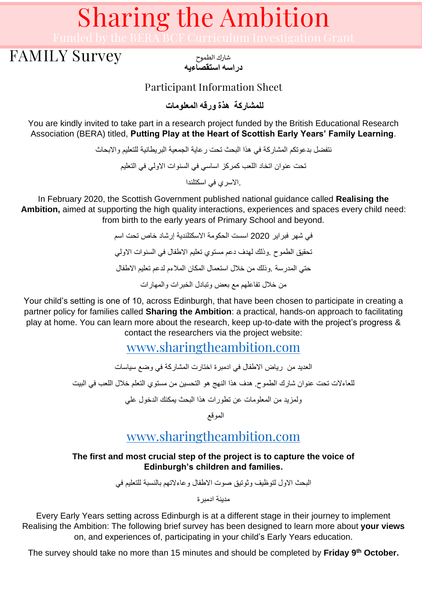### FAMILY Survey

شارك الطموح **دراسه استقصاءيه** 

Participant Information Sheet

**للمشاركة هذة ورقه المعلومات**

You are kindly invited to take part in a research project funded by the British Educational Research Association (BERA) titled, **Putting Play at the Heart of Scottish Early Years' Family Learning**.

> نتفضل بدعوتكم المشاركة في هذا البحث تحت رعاية الجمعية البريطانية للتعليم واالبحاث تحت عنوان اتخاد اللعب كمركز اساسي في السنوات االولي في التعليم .االسري في اسكتلندا

In February 2020, the Scottish Government published national guidance called **Realising the Ambition,** aimed at supporting the high quality interactions, experiences and spaces every child need: from birth to the early years of Primary School and beyond.

> في شهر فبراير 2020 اسست الحكومة االسكتلندية إرشاد خاص تحت اسم تحقيق الطموح .وذلك لهدف دعم مستوي تعليم االطفال في السنوات االولي حتي المدرسة .وذلك من خالل استعمال المكان المالءم لدعم تعليم االطفال من خالل تفاعلهم مع بعض وتبادل الخبرات والمهارات

Your child's setting is one of 10, across Edinburgh, that have been chosen to participate in creating a partner policy for families called **Sharing the Ambition**: a practical, hands-on approach to facilitating play at home. You can learn more about the research, keep up-to-date with the project's progress & contact the researchers via the project website:

[www.sharingtheambition.com](http://www.sharingtheambition.com/)

العديد من رياض االطفال في ادمبرة اختارت المشاركة في وضع سياسات للعاءالت تحت عنوان شارك الطموح. هدف هذا النهج هو التحسين من مستوي التعلم خالل اللعب في البيت

ولمزيد من المعلومات عن تطورات هذا البحث يمكنك الدخول علي

الموقع

### [www.sharingtheambition.com](http://www.sharingtheambition.com/)

#### **The first and most crucial step of the project is to capture the voice of Edinburgh's children and families.**

البحث االول لتوظيف وثوتيق صوت االطفال وعاءالتهم بالنسبة للتعليم في

مدينة ادمبرة

Every Early Years setting across Edinburgh is at a different stage in their journey to implement Realising the Ambition: The following brief survey has been designed to learn more about **your views** on, and experiences of, participating in your child's Early Years education.

The survey should take no more than 15 minutes and should be completed by **Friday 9th October.**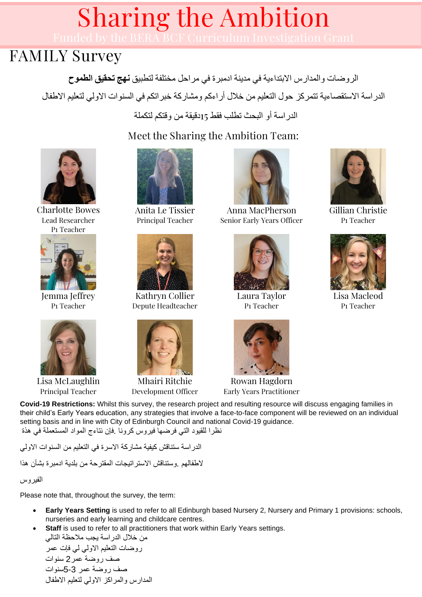### FAMILY Survey

الروضات والمدارس االبتداءية في مدينة ادمبرة في مراحل مختلفة لتطبيق **نهج تحقيق الطموح**  الدراسة االستقصاءية تتمركز حول التعليم من خالل أراءكم ومشاركة خبراتكم في السنوات االولي لتعليم االطفال

الدراسة أو البحث تطلب فقط 15دقيقة من وقتكم لتكملة

Meet the Sharing the Ambition Team:



Charlotte Bowes Lead Researcher P1 Teacher



Jemma Jeffrey P1 Teacher



Lisa McLaughlin Principal Teacher



Anita Le Tissier Principal Teacher



Kathryn Collier Depute Headteacher



Mhairi Ritchie Development Officer



Anna MacPherson Senior Early Years Officer



Laura Taylor P1 Teacher



Gillian Christie P1 Teacher



Lisa Macleod P1 Teacher

Rowan Hagdorn Early Years Practitioner

**Covid-19 Restrictions:** Whilst this survey, the research project and resulting resource will discuss engaging families in their child's Early Years education, any strategies that involve a face-to-face component will be reviewed on an individual setting basis and in line with City of Edinburgh Council and national Covid-19 guidance. نظرا للقيود التي فرضها فيروس كرونا .فإن نتاءج المواد المستعملة في هذة

الدراسة ستناقش كيفية مشاركة االسرة في التعليم من السنوات االولي الطفالهم .وستناقش االستراتيجات المقترحة من بلدية ادمبرة بشأن هذا

الفير وس

Please note that, throughout the survey, the term:

- **Early Years Setting** is used to refer to all Edinburgh based Nursery 2, Nursery and Primary 1 provisions: schools, nurseries and early learning and childcare centres.
- **Staff** is used to refer to all practitioners that work within Early Years settings.

من خلال الدراسة يجب ملاحظة التالي روضات التعليم االولي لي فإت عمر صف روضة عمر2 سنوات صف روضة عمر 5-3سنوات المدارس والمراكز االولي لتعليم االطفال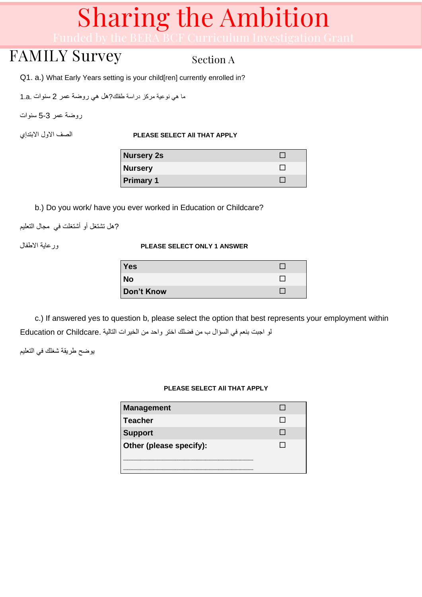## FAMILY Survey

Section A

Q1. a.) What Early Years setting is your child[ren] currently enrolled in?

ما هي نوعية مركز دراسة طفلك ?هل هي روضة عمر 2 سنوات .a1.

روضة عمر 5-3 سنوات

#### االبتدإي االول الصف **PLEASE SELECT All THAT APPLY**

| <b>Nursery 2s</b> |  |
|-------------------|--|
| <b>Nursery</b>    |  |
| <b>Primary 1</b>  |  |

b.) Do you work/ have you ever worked in Education or Childcare?

?هل تشتغل أو أشتغلت في مجال التعليم

#### االطفال ورعاية **PLEASE SELECT ONLY 1 ANSWER**

| <b>Yes</b> |  |
|------------|--|
| <b>No</b>  |  |
| Don't Know |  |

c.) If answered yes to question b, please select the option that best represents your employment within لو اجبت بنعم في السؤال ب من فضلك اختر واحد من الخيرات التالية .Childcare or Education

يوضح طريقة شغلك في التعليم

#### **PLEASE SELECT All THAT APPLY**

| <b>Management</b>       |  |
|-------------------------|--|
| Teacher                 |  |
| <b>Support</b>          |  |
| Other (please specify): |  |
|                         |  |
|                         |  |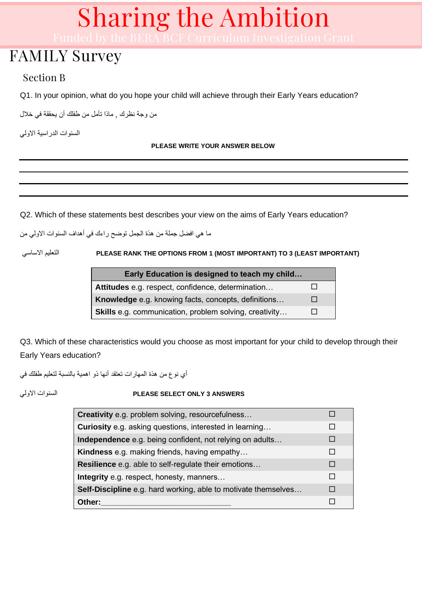## FAMILY Survey

### Section B

Q1. In your opinion, what do you hope your child will achieve through their Early Years education?

من وجة نظرك , ماذا تأمل من طفلك أن يحققة في خالل

السنوات الدراسية االولي

#### **PLEASE WRITE YOUR ANSWER BELOW**

Q2. Which of these statements best describes your view on the aims of Early Years education?

ما هي افضل جملة من هذة الجمل توضح راءك في أهداف السنوات االولي من

االساسي التعليم **PLEASE RANK THE OPTIONS FROM 1 (MOST IMPORTANT) TO 3 (LEAST IMPORTANT)** 

| Early Education is designed to teach my child                 |              |
|---------------------------------------------------------------|--------------|
| Attitudes e.g. respect, confidence, determination             |              |
| Knowledge e.g. knowing facts, concepts, definitions           | $\mathbf{I}$ |
| <b>Skills</b> e.g. communication, problem solving, creativity | . .          |

Q3. Which of these characteristics would you choose as most important for your child to develop through their Early Years education?

أي نوع من هذة المهارات تعتقد أنها ذو اهمية بالنسبة لتعليم طفلك في

#### االولي السنوات **PLEASE SELECT ONLY 3 ANSWERS**

| Creativity e.g. problem solving, resourcefulness                      |  |
|-----------------------------------------------------------------------|--|
| <b>Curiosity</b> e.g. asking questions, interested in learning        |  |
| Independence e.g. being confident, not relying on adults              |  |
| Kindness e.g. making friends, having empathy                          |  |
| <b>Resilience</b> e.g. able to self-regulate their emotions           |  |
| Integrity e.g. respect, honesty, manners                              |  |
| <b>Self-Discipline</b> e.g. hard working, able to motivate themselves |  |
| Other:                                                                |  |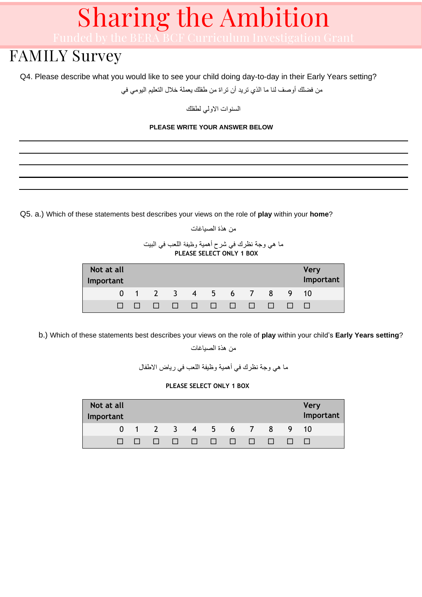## FAMILY Survey

Q4. Please describe what you would like to see your child doing day-to-day in their Early Years setting?

من فضلك أوصف لنا ما الذي تريد أن تراة من طفلك يعملة خالل التعليم اليومي في

السنوات االولي لطفلك

#### **PLEASE WRITE YOUR ANSWER BELOW**

Q5. a.) Which of these statements best describes your views on the role of **play** within your **home**?

```
من هذة الصياغات
```
#### ما هي وجة نظرك في شرح أهمية وظيفة اللعب في البيت  **PLEASE SELECT ONLY 1 BOX**

| Not at all<br>Important |                   |                         |  |  |        | <b>Very</b><br>Important |
|-------------------------|-------------------|-------------------------|--|--|--------|--------------------------|
|                         | 0 1 2 3 4 5 6 7 8 |                         |  |  | 9 10   |                          |
|                         |                   | 11 11 11 11 11 11 11 11 |  |  | $\Box$ |                          |

Q2. b.) Which of these statements best describes your views on the role of **play** within your child's **Early Years setting**?

من هذة الصياغات

ما هي وجة نظرك في أهمية وظيفة اللعب في رياض االطفال

#### **PLEASE SELECT ONLY 1 BOX**

| Not at all<br>Important |                            |                   |                |        |              |              |      | <b>Very</b><br>Important |
|-------------------------|----------------------------|-------------------|----------------|--------|--------------|--------------|------|--------------------------|
|                         |                            | 0 1 2 3 4 5 6 7 8 |                |        |              |              | 9 10 |                          |
|                         | and the state of the state |                   | an barat da sa | $\Box$ | $\mathbf{1}$ | $\mathbf{1}$ |      |                          |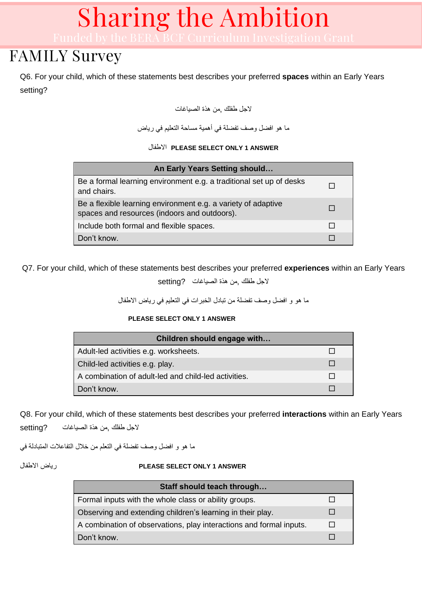## FAMILY Survey

Q6. For your child, which of these statements best describes your preferred **spaces** within an Early Years setting?

الجل طفلك ,من هذة الصياغات

ما هو افضل وصف تفضلة في أهمية مساحة التعليم في رياض

االطفال **PLEASE SELECT ONLY 1 ANSWER**

| An Early Years Setting should                                                                                 |  |
|---------------------------------------------------------------------------------------------------------------|--|
| Be a formal learning environment e.g. a traditional set up of desks<br>and chairs.                            |  |
| Be a flexible learning environment e.g. a variety of adaptive<br>spaces and resources (indoors and outdoors). |  |
| Include both formal and flexible spaces.                                                                      |  |
| Don't know.                                                                                                   |  |

Q7. For your child, which of these statements best describes your preferred **experiences** within an Early Years

الجل طفلك ,من هذة الصياغات?setting

ما هو و افضل وصف تفضلة من تبادل الخبرات في التعليم في رياض االطفال

#### **PLEASE SELECT ONLY 1 ANSWER**

| Children should engage with                          |  |
|------------------------------------------------------|--|
| Adult-led activities e.g. worksheets.                |  |
| Child-led activities e.g. play.                      |  |
| A combination of adult-led and child-led activities. |  |
| Don't know.                                          |  |

Q8. For your child, which of these statements best describes your preferred **interactions** within an Early Years الجل طفلك ,من هذة الصياغات ?setting

ما هو و افضل وصف تفضلة في التعلم من خالل التفاعالت المتبادلة في

#### االطفال رياض **PLEASE SELECT ONLY 1 ANSWER**

| Staff should teach through                                          |  |
|---------------------------------------------------------------------|--|
| Formal inputs with the whole class or ability groups.               |  |
| Observing and extending children's learning in their play.          |  |
| A combination of observations, play interactions and formal inputs. |  |
| Don't know.                                                         |  |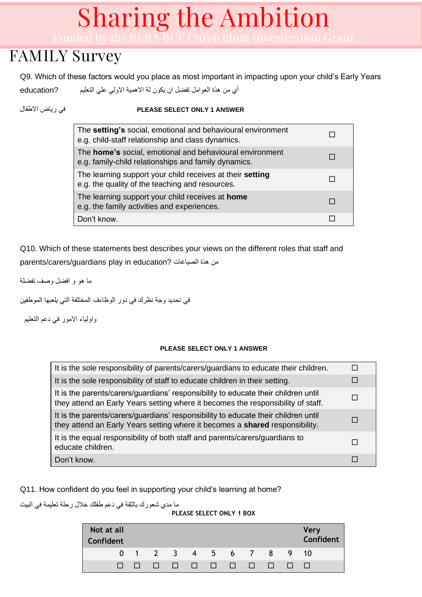## FAMILY Survey

Q9. Which of these factors would you place as most important in impacting upon your child's Early Years أي من هذة العوامل تفضل ان يكون لة االهمية االولي علي التعليم ?education

#### االطفال رياض في **PLEASE SELECT ONLY 1 ANSWER**

| The setting's social, emotional and behavioural environment<br>e.g. child-staff relationship and class dynamics. |  |
|------------------------------------------------------------------------------------------------------------------|--|
| The home's social, emotional and behavioural environment<br>e.g. family-child relationships and family dynamics. |  |
| The learning support your child receives at their setting<br>e.g. the quality of the teaching and resources.     |  |
| The learning support your child receives at home<br>e.g. the family activities and experiences.                  |  |
| Don't know.                                                                                                      |  |

Q10. Which of these statements best describes your views on the different roles that staff and parents/carers/guardians play in education? من هذة الصياغات

ما هو و افضل وصف تفضلة

في تحديد وجة نظرك في دور الوظاءف المختلفة التي يلعبها الموطفين

واولياء االمور في دعم التعليم

#### **PLEASE SELECT ONLY 1 ANSWER**

| It is the sole responsibility of parents/carers/guardians to educate their children.                                                                                   |        |
|------------------------------------------------------------------------------------------------------------------------------------------------------------------------|--------|
| It is the sole responsibility of staff to educate children in their setting.                                                                                           |        |
| It is the parents/carers/guardians' responsibility to educate their children until<br>they attend an Early Years setting where it becomes the responsibility of staff. |        |
| It is the parents/carers/guardians' responsibility to educate their children until<br>they attend an Early Years setting where it becomes a shared responsibility.     |        |
| It is the equal responsibility of both staff and parents/carers/guardians to<br>educate children.                                                                      | $\Box$ |
| Don't know.                                                                                                                                                            |        |

Q11. How confident do you feel in supporting your child's learning at home?

ما مدي شعورك بالثقة في دعم طفلك خالل رحلة تعليمة في البيت

#### **PLEASE SELECT ONLY 1 BOX**

| Not at all<br>Confident |  |                        |  |  |                | <b>Very</b><br>Confident |
|-------------------------|--|------------------------|--|--|----------------|--------------------------|
|                         |  | 0 1 2 3 4 5 6 7 8 9    |  |  |                | 10                       |
|                         |  | <u>n n n n n n n n</u> |  |  | $\blacksquare$ |                          |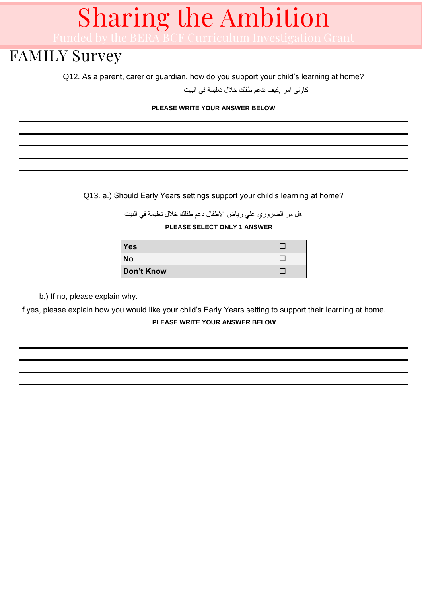### FAMILY Survey

Q12. As a parent, carer or guardian, how do you support your child's learning at home?

كاولي امر ,كيف تدعم طفلك خالل تعليمة في البيت

#### **PLEASE WRITE YOUR ANSWER BELOW**

Q13. a.) Should Early Years settings support your child's learning at home?

هل من الضروري علي رياض االطفال دعم طفلك خالل تعليمة في البيت

**PLEASE SELECT ONLY 1 ANSWER**

| <b>Yes</b> |  |
|------------|--|
| <b>No</b>  |  |
| Don't Know |  |

b.) If no, please explain why.

If yes, please explain how you would like your child's Early Years setting to support their learning at home. **PLEASE WRITE YOUR ANSWER BELOW**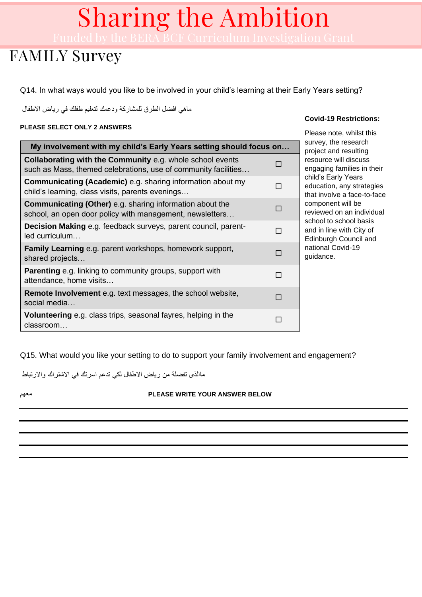## FAMILY Survey

Q14. In what ways would you like to be involved in your child's learning at their Early Years setting?

ماهي افضل الطرق للمشاركة ودعمك لتعليم طفلك في رياض االطفال

#### **PLEASE SELECT ONLY 2 ANSWERS**

| My involvement with my child's Early Years setting should focus on                                                                 |                          |
|------------------------------------------------------------------------------------------------------------------------------------|--------------------------|
| <b>Collaborating with the Community e.g. whole school events</b><br>such as Mass, themed celebrations, use of community facilities |                          |
| <b>Communicating (Academic)</b> e.g. sharing information about my<br>child's learning, class visits, parents evenings              |                          |
| <b>Communicating (Other)</b> e.g. sharing information about the<br>school, an open door policy with management, newsletters        | П                        |
| <b>Decision Making</b> e.g. feedback surveys, parent council, parent-<br>$led$ curriculum                                          | H                        |
| <b>Family Learning</b> e.g. parent workshops, homework support,<br>shared projects                                                 | $\overline{\phantom{a}}$ |
| <b>Parenting</b> e.g. linking to community groups, support with<br>attendance, home visits                                         | П                        |
| <b>Remote Involvement</b> e.g. text messages, the school website,<br>social media                                                  |                          |
| <b>Volunteering</b> e.g. class trips, seasonal fayres, helping in the<br>classroom                                                 |                          |

**Covid-19 Restrictions:**

Please note, whilst this survey, the research project and resulting resource will discuss engaging families in their child's Early Years education, any strategies that involve a face-to-face component will be reviewed on an individual school to school basis and in line with City of Edinburgh Council and national Covid-19 guidance.

Q15. What would you like your setting to do to support your family involvement and engagement?

ماالذى تفضلة من رياض االطفال لكي تدعم اسرتك في االشتراك واالرتباط

#### معهم **PLEASE WRITE YOUR ANSWER BELOW**